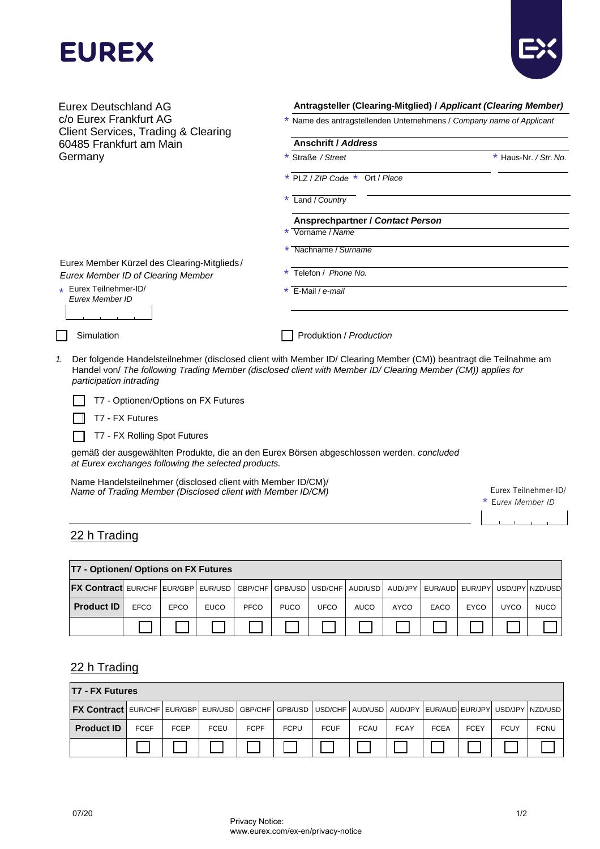



**Antragsteller (Clearing-Mitglied) /** *Applicant (Clearing Member)* \* Name des antragstellenden Unternehmens / *Company name of Applicant* **Anschrift /** *Address* \* Straße */ Street* \* Haus-Nr. */ Str. No.* Eurex Deutschland AG c/o Eurex Frankfurt AG Client Services, Trading & Clearing 60485 Frankfurt am Main Germany \* PLZ / *ZIP Code* \* Ort / *Place* \* Land / *Country* **Ansprechpartner /** *Contact Person* \* Vorname / *Name* \* Nachname / *Surname* Eurex Member Kürzel des Clearing-Mitglieds / *Eurex Member ID of Clearing Member* Eurex Teilnehmer-ID/ *Eurex Member ID* \* Telefon / *Phone No.* \* E-Mail / *e-mail* Simulation **Production** Produktion / *Production 1.* Der folgende Handelsteilnehmer (disclosed client with Member ID/ Clearing Member (CM)) beantragt die Teilnahme am Handel von/ *The following Trading Member (disclosed client with Member ID/ Clearing Member (CM)) applies for participation intrading* \*

T7 - Optionen/Options on FX Futures  $\mathbf{I}$ 

T7 - FX Futures

T7 - FX Rolling Spot Futures П

gemäß der ausgewählten Produkte, die an den Eurex Börsen abgeschlossen werden. *concluded at Eurex exchanges following the selected products.*

Name Handelsteilnehmer (disclosed client with Member ID/CM)/ *Name of Trading Member (Disclosed client with Member ID/CM)* Eurex Teilnehmer-ID/

Eurex Member ID

## 22 h Trading

| <b>T7 - Optionen/ Options on FX Futures</b>                                        |             |      |             |      |             |      |             |      |                                       |      |             |             |
|------------------------------------------------------------------------------------|-------------|------|-------------|------|-------------|------|-------------|------|---------------------------------------|------|-------------|-------------|
| <b>FX Contract</b> EUR/CHF EUR/GBP EUR/USD GBP/CHF GPB/USD USD/CHF AUD/USD AUD/JPY |             |      |             |      |             |      |             |      | EUR/AUD   EUR/JPY   USD/JPY   NZD/USD |      |             |             |
| <b>Product ID</b>                                                                  | <b>EFCO</b> | EPCO | <b>EUCO</b> | PFCO | <b>PUCO</b> | UFCO | <b>AUCO</b> | AYCO | EACO                                  | EYCO | <b>UYCO</b> | <b>NUCO</b> |
|                                                                                    |             |      |             |      |             |      |             |      |                                       |      |             |             |

## 22 h Trading

| <b>T7 - FX Futures</b>                                                                                                                    |             |             |             |             |             |             |             |             |             |             |             |             |
|-------------------------------------------------------------------------------------------------------------------------------------------|-------------|-------------|-------------|-------------|-------------|-------------|-------------|-------------|-------------|-------------|-------------|-------------|
| <b>FX Contract</b>   EUR/CHF   EUR/GBP   EUR/USD   GBP/CHF   GPB/USD   USD/CHF   AUD/USD   AUD/JPY   EUR/AUD  EUR/JPY   USD/JPY   NZD/USD |             |             |             |             |             |             |             |             |             |             |             |             |
| <b>Product ID</b>                                                                                                                         | <b>FCEF</b> | <b>FCEP</b> | <b>FCEU</b> | <b>FCPF</b> | <b>FCPU</b> | <b>FCUF</b> | <b>FCAU</b> | <b>FCAY</b> | <b>FCEA</b> | <b>FCEY</b> | <b>FCUY</b> | <b>FCNU</b> |
|                                                                                                                                           |             |             |             |             |             |             |             |             |             |             |             |             |

www.eurex.com/ex-en/privacy-notice